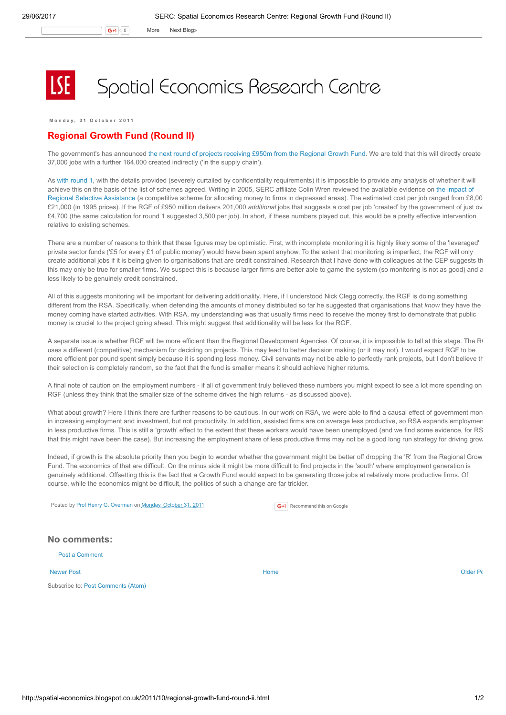G+1 0 More Next [Blog»](https://www.blogger.com/next-blog?navBar=true&blogID=974562301377041914)

## Spatial Economics Research Centre

Monday, 31 October 2011

## Regional Growth Fund (Round II)

The government's has announced the next round of projects [receiving](http://nds.coi.gov.uk/content/detail.aspx?NewsAreaId=2&ReleaseID=421806&SubjectId=2) £950m from the Regional Growth Fund. We are told that this will directly create 37,000 jobs with a further 164,000 created indirectly ('in the supply chain').

As with [round](http://spatial-economics.blogspot.com/2011/04/regional-growth-fund-round-1.html) 1, with the details provided (severely curtailed by confidentiality requirements) it is impossible to provide any analysis of whether it will achieve this on the basis of the list of schemes agreed. Writing in 2005, SERC affiliate Colin Wren reviewed the available evidence on the impact of Regional Selective Assistance (a [competitive](http://onlinelibrary.wiley.com/doi/10.1111/j.1475-5890.2005.00012.x/pdf) scheme for allocating money to firms in depressed areas). The estimated cost per job ranged from £8,00 £21,000 (in 1995 prices). If the RGF of £950 million delivers 201,000 additional jobs that suggests a cost per job 'created' by the government of just ov £4,700 (the same calculation for round 1 suggested 3,500 per job). In short, if these numbers played out, this would be a pretty effective intervention relative to existing schemes.

There are a number of reasons to think that these figures may be optimistic. First, with incomplete monitoring it is highly likely some of the 'leveraged' private sector funds ('£5 for every £1 of public money') would have been spent anyhow. To the extent that monitoring is imperfect, the RGF will only create additional jobs if it is being given to organisations that are credit constrained. Research that I have done with colleagues at the CEP suggests that this may only be true for smaller firms. We suspect this is because larger firms are better able to game the system (so monitoring is not as good) and a less likely to be genuinely credit constrained.

All of this suggests monitoring will be important for delivering additionality. Here, if I understood Nick Clegg correctly, the RGF is doing something different from the RSA. Specifically, when defending the amounts of money distributed so far he suggested that organisations that know they have the money coming have started activities. With RSA, my understanding was that usually firms need to receive the money first to demonstrate that public money is crucial to the project going ahead. This might suggest that additionality will be less for the RGF.

A separate issue is whether RGF will be more efficient than the Regional Development Agencies. Of course, it is impossible to tell at this stage. The R uses a different (competitive) mechanism for deciding on projects. This may lead to better decision making (or it may not). I would expect RGF to be more efficient per pound spent simply because it is spending less money. Civil servants may not be able to perfectly rank projects, but I don't believe that their selection is completely random, so the fact that the fund is smaller means it should achieve higher returns.

A final note of caution on the employment numbers - if all of government truly believed these numbers you might expect to see a lot more spending on RGF (unless they think that the smaller size of the scheme drives the high returns - as discussed above).

What about growth? Here I think there are further reasons to be cautious. In our work on RSA, we were able to find a causal effect of government mon in increasing employment and investment, but not productivity. In addition, assisted firms are on average less productive, so RSA expands employmer in less productive firms. This is still a 'growth' effect to the extent that these workers would have been unemployed (and we find some evidence, for RS that this might have been the case). But increasing the employment share of less productive firms may not be a good long run strategy for driving grow

Indeed, if growth is the absolute priority then you begin to wonder whether the government might be better off dropping the 'R' from the Regional Grow Fund. The economics of that are difficult. On the minus side it might be more difficult to find projects in the 'south' where employment generation is genuinely additional. Offsetting this is the fact that a Growth Fund would expect to be generating those jobs at relatively more productive firms. Of course, while the economics might be difficult, the politics of such a change are far trickier.

Posted by Prof Henry G. [Overman](https://www.blogger.com/profile/15203876610491317062) on [Monday,](http://spatial-economics.blogspot.co.uk/2011/10/regional-growth-fund-round-ii.html) October 31, 2011

|  | G+1 Recommend this on Google |  |
|--|------------------------------|--|
|  |                              |  |

## No comments:

Post a [Comment](https://www.blogger.com/comment.g?blogID=974562301377041914&postID=7174495322378720698)

[Newer](http://spatial-economics.blogspot.co.uk/2011/11/londons-shocking-growth-performance.html) Post and the contract of the contract of the [Home](http://spatial-economics.blogspot.co.uk/) of the contract of the contract of the contract of the contract of the contract of the contract of the contract of the contract of the contract of the contract of the

Subscribe to: Post [Comments](http://spatial-economics.blogspot.com/feeds/7174495322378720698/comments/default) (Atom)